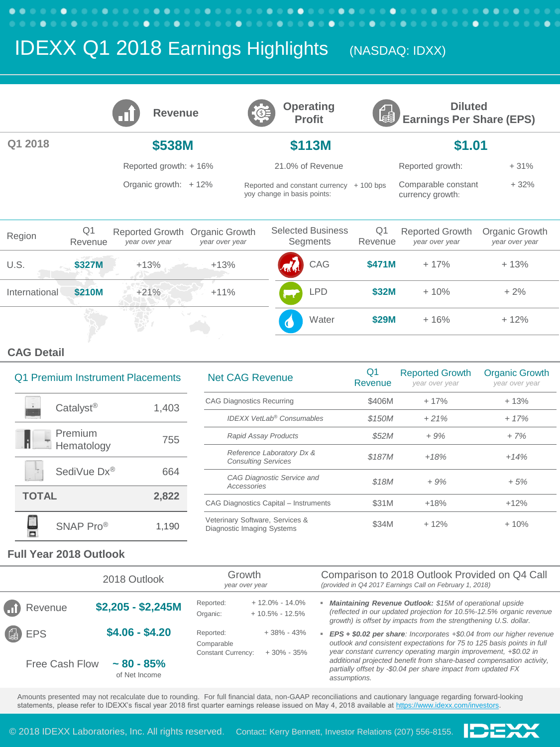# **IDEXX Q1 2018 Earnings Highlights** (NASDAQ: IDXX)

|               |                           | <b>Revenue</b>                    |                                  | $\mathbb{G}$ |                             | <b>Operating</b><br><b>Profit</b>    | Leĝi,         | <b>Diluted</b><br><b>Earnings Per Share (EPS)</b> |                                  |
|---------------|---------------------------|-----------------------------------|----------------------------------|--------------|-----------------------------|--------------------------------------|---------------|---------------------------------------------------|----------------------------------|
| 2018          |                           | \$538M                            |                                  |              |                             | \$113M                               |               | \$1.01                                            |                                  |
|               |                           | Reported growth: +16%             |                                  |              |                             | 21.0% of Revenue                     |               | Reported growth:                                  | $+31%$                           |
|               |                           | Organic growth: $+12\%$           |                                  |              | yoy change in basis points: | Reported and constant currency       | $+100$ bps    | Comparable constant<br>currency growth:           | $+32%$                           |
| Region        | Q <sub>1</sub><br>Revenue | Reported Growth<br>year over year | Organic Growth<br>year over year |              |                             | <b>Selected Business</b><br>Segments | Q1<br>Revenue | <b>Reported Growth</b><br>year over year          | Organic Growth<br>year over year |
| U.S.          | \$327M                    | $+13%$                            | $+13%$                           |              |                             | CAG                                  | \$471M        | $+17%$                                            | $+13%$                           |
| International | \$210M                    | $+21%$                            | $+11%$                           |              |                             | <b>LPD</b>                           | \$32M         | $+10%$                                            | $+2%$                            |
|               |                           |                                   |                                  |              |                             | Water                                | \$29M         | $+16%$                                            | $+12%$                           |

#### **CAG Detail**

## Q1 Premium Instrument Placements Catalyst<sup>®</sup> 1,403 Premium Hematology 755 SediVue Dx® 664 **TOTAL 2,822**  $\frac{1}{\Box}$ SNAP Pro<sup>®</sup> 1,190

| <b>Net CAG Revenue</b>                                        | Q1<br>Revenue | <b>Reported Growth</b><br>year over year | <b>Organic Growth</b><br>year over year |
|---------------------------------------------------------------|---------------|------------------------------------------|-----------------------------------------|
| <b>CAG Diagnostics Recurring</b>                              | \$406M        | $+17%$                                   | $+13%$                                  |
| <b>IDEXX VetLab<sup>®</sup> Consumables</b>                   | \$150M        | $+21%$                                   | $+17%$                                  |
| Rapid Assay Products                                          | \$52M         | $+9%$                                    | $+7%$                                   |
| Reference Laboratory Dx &<br><b>Consulting Services</b>       | \$187M        | $+18%$                                   | $+14%$                                  |
| CAG Diagnostic Service and<br>Accessories                     | \$18M         | $+9%$                                    | $+5%$                                   |
| CAG Diagnostics Capital - Instruments                         | \$31M         | $+18%$                                   | $+12%$                                  |
| Veterinary Software, Services &<br>Diagnostic Imaging Systems | \$34M         | $+12%$                                   | $+10%$                                  |

IĐE)

#### **Full Year 2018 Outlook**

|                | 2018 Outlook                   | Growth<br>year over year                             |                                          | Comparison to 2018 Outlook Provided on Q4 Call<br>(provided in Q4 2017 Earnings Call on February 1, 2018)                                                                                                            |  |  |
|----------------|--------------------------------|------------------------------------------------------|------------------------------------------|----------------------------------------------------------------------------------------------------------------------------------------------------------------------------------------------------------------------|--|--|
| Revenue        | $$2,205 - $2,245M$             | Reported:<br>Organic:                                | $+12.0\% - 14.0\%$<br>$+10.5\% - 12.5\%$ | Maintaining Revenue Outlook: \$15M of operational upside<br>(reflected in our updated projection for 10.5%-12.5% organic revenue<br>growth) is offset by impacts from the strengthening U.S. dollar.                 |  |  |
| <sup>4</sup>   | $$4.06 - $4.20$                | Reported:<br>Comparable<br><b>Constant Currency:</b> | $+38\% - 43\%$<br>$+30\% - 35\%$         | $EPS + $0.02$ per share: Incorporates $+ $0.04$ from our higher revenue<br>outlook and consistent expectations for 75 to 125 basis points in full<br>year constant currency operating margin improvement, +\$0.02 in |  |  |
| Free Cash Flow | $~1.80 - 85%$<br>of Net Income |                                                      |                                          | additional projected benefit from share-based compensation activity,<br>partially offset by -\$0.04 per share impact from updated FX<br>assumptions.                                                                 |  |  |

Amounts presented may not recalculate due to rounding. For full financial data, non-GAAP reconciliations and cautionary language regarding forward-looking statements, please refer to IDEXX's fiscal year 2018 first quarter earnings release issued on May 4, 2018 available at <https://www.idexx.com/investors>.